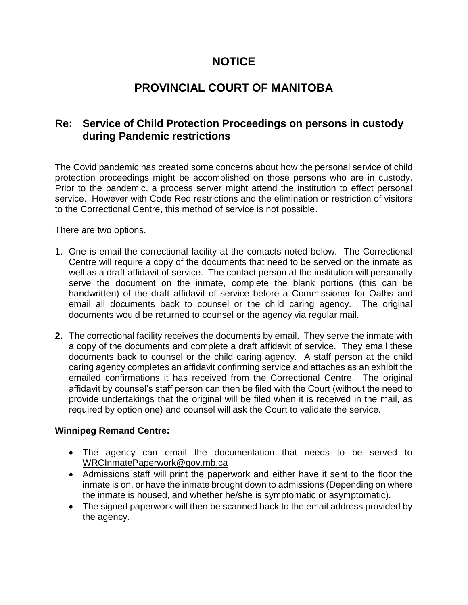# **NOTICE**

# **PROVINCIAL COURT OF MANITOBA**

## **Re: Service of Child Protection Proceedings on persons in custody during Pandemic restrictions**

The Covid pandemic has created some concerns about how the personal service of child protection proceedings might be accomplished on those persons who are in custody. Prior to the pandemic, a process server might attend the institution to effect personal service. However with Code Red restrictions and the elimination or restriction of visitors to the Correctional Centre, this method of service is not possible.

There are two options.

- 1. One is email the correctional facility at the contacts noted below. The Correctional Centre will require a copy of the documents that need to be served on the inmate as well as a draft affidavit of service. The contact person at the institution will personally serve the document on the inmate, complete the blank portions (this can be handwritten) of the draft affidavit of service before a Commissioner for Oaths and email all documents back to counsel or the child caring agency. The original documents would be returned to counsel or the agency via regular mail.
- **2.** The correctional facility receives the documents by email. They serve the inmate with a copy of the documents and complete a draft affidavit of service. They email these documents back to counsel or the child caring agency. A staff person at the child caring agency completes an affidavit confirming service and attaches as an exhibit the emailed confirmations it has received from the Correctional Centre. The original affidavit by counsel's staff person can then be filed with the Court (without the need to provide undertakings that the original will be filed when it is received in the mail, as required by option one) and counsel will ask the Court to validate the service.

#### **Winnipeg Remand Centre:**

- The agency can email the documentation that needs to be served to [WRCInmatePaperwork@gov.mb.ca](mailto:WRCInmatePaperwork@gov.mb.ca)
- Admissions staff will print the paperwork and either have it sent to the floor the inmate is on, or have the inmate brought down to admissions (Depending on where the inmate is housed, and whether he/she is symptomatic or asymptomatic).
- The signed paperwork will then be scanned back to the email address provided by the agency.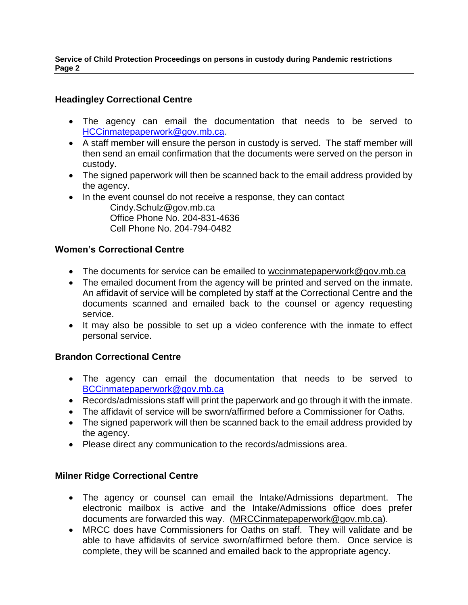**Service of Child Protection Proceedings on persons in custody during Pandemic restrictions Page 2**

### **Headingley Correctional Centre**

- The agency can email the documentation that needs to be served to [HCCinmatepaperwork@gov.mb.ca.](mailto:HCCinmatepaperwork@gov.mb.ca)
- A staff member will ensure the person in custody is served. The staff member will then send an email confirmation that the documents were served on the person in custody.
- The signed paperwork will then be scanned back to the email address provided by the agency.
- In the event counsel do not receive a response, they can contact

[Cindy.Schulz@gov.mb.ca](mailto:Cindy.Schulz@gov.mb.ca) Office Phone No. 204-831-4636 Cell Phone No. 204-794-0482

#### **Women's Correctional Centre**

- The documents for service can be emailed to [wccinmatepaperwork@gov.mb.ca](mailto:wccinmatepaperwork@gov.mb.ca)
- The emailed document from the agency will be printed and served on the inmate. An affidavit of service will be completed by staff at the Correctional Centre and the documents scanned and emailed back to the counsel or agency requesting service.
- It may also be possible to set up a video conference with the inmate to effect personal service.

#### **Brandon Correctional Centre**

- The agency can email the documentation that needs to be served to [BCCinmatepaperwork@gov.mb.ca](mailto:BCCinmatepaperwork@gov.mb.ca)
- Records/admissions staff will print the paperwork and go through it with the inmate.
- The affidavit of service will be sworn/affirmed before a Commissioner for Oaths.
- The signed paperwork will then be scanned back to the email address provided by the agency.
- Please direct any communication to the records/admissions area.

#### **Milner Ridge Correctional Centre**

- The agency or counsel can email the Intake/Admissions department. The electronic mailbox is active and the Intake/Admissions office does prefer documents are forwarded this way. [\(MRCCinmatepaperwork@gov.mb.ca\)](mailto:MRCCinmatepaperwork@gov.mb.ca).
- MRCC does have Commissioners for Oaths on staff. They will validate and be able to have affidavits of service sworn/affirmed before them. Once service is complete, they will be scanned and emailed back to the appropriate agency.